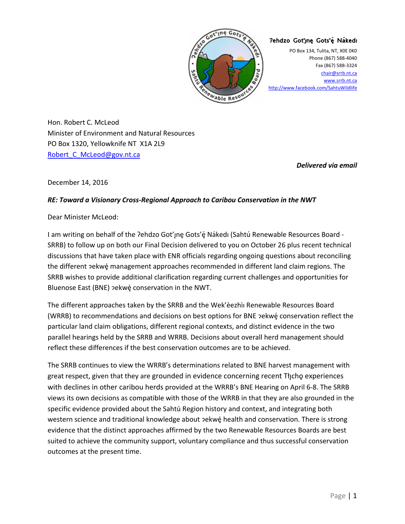

## **Ɂehdzo Got'ı̨nę Gots'ę́ Nákedı**

PO Box 134, Tulita, NT, X0E 0K0 Phone (867) 588-4040 Fax (867) 588-3324 [chair@srrb.nt.ca](mailto:chair@srrb.nt.ca) [www.srrb.nt.ca](http://www.srrb.nt.ca/) <http://www.facebook.com/SahtuWildlife>

Hon. Robert C. McLeod Minister of Environment and Natural Resources PO Box 1320, Yellowknife NT X1A 2L9 Robert C McLeod@gov.nt.ca

*Delivered via email*

December 14, 2016

## *RE: Toward a Visionary Cross-Regional Approach to Caribou Conservation in the NWT*

Dear Minister McLeod:

I am writing on behalf of the ?ehdzo Got'jne Gots'é Nákedi (Sahtú Renewable Resources Board -SRRB) to follow up on both our Final Decision delivered to you on October 26 plus recent technical discussions that have taken place with ENR officials regarding ongoing questions about reconciling the different  $e$ ekwé management approaches recommended in different land claim regions. The SRRB wishes to provide additional clarification regarding current challenges and opportunities for Bluenose East (BNE) pekwé conservation in the NWT.

The different approaches taken by the SRRB and the Wek'èezhìı Renewable Resources Board (WRRB) to recommendations and decisions on best options for BNE ɂekwę́conservation reflect the particular land claim obligations, different regional contexts, and distinct evidence in the two parallel hearings held by the SRRB and WRRB. Decisions about overall herd management should reflect these differences if the best conservation outcomes are to be achieved.

The SRRB continues to view the WRRB's determinations related to BNE harvest management with great respect, given that they are grounded in evidence concerning recent Tłicho experiences with declines in other caribou herds provided at the WRRB's BNE Hearing on April 6-8. The SRRB views its own decisions as compatible with those of the WRRB in that they are also grounded in the specific evidence provided about the Sahtú Region history and context, and integrating both western science and traditional knowledge about pekwé health and conservation. There is strong evidence that the distinct approaches affirmed by the two Renewable Resources Boards are best suited to achieve the community support, voluntary compliance and thus successful conservation outcomes at the present time.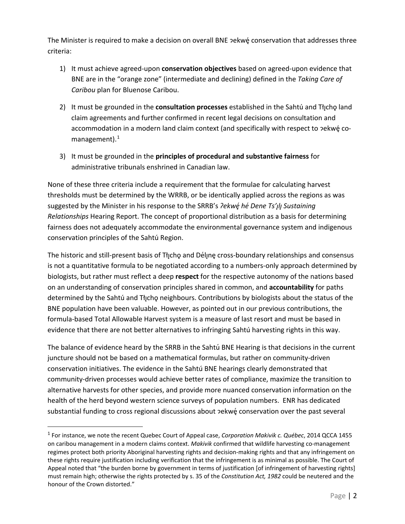The Minister is required to make a decision on overall BNE ?ekwe conservation that addresses three criteria:

- 1) It must achieve agreed-upon **conservation objectives** based on agreed-upon evidence that BNE are in the "orange zone" (intermediate and declining) defined in the *Taking Care of Caribou* plan for Bluenose Caribou.
- 2) It must be grounded in the **consultation processes** established in the Sahtú and Tłycho land claim agreements and further confirmed in recent legal decisions on consultation and accommodation in a modern land claim context (and specifically with respect to ɂekwę́comanagement). $1$
- 3) It must be grounded in the **principles of procedural and substantive fairness** for administrative tribunals enshrined in Canadian law.

None of these three criteria include a requirement that the formulae for calculating harvest thresholds must be determined by the WRRB, or be identically applied across the regions as was suggested by the Minister in his response to the SRRB's *Ɂekwę́héDene Ts'ılı̨ ̨Sustaining Relationships* Hearing Report. The concept of proportional distribution as a basis for determining fairness does not adequately accommodate the environmental governance system and indigenous conservation principles of the Sahtú Region.

The historic and still-present basis of Tłįchǫ and Délįnę cross-boundary relationships and consensus is not a quantitative formula to be negotiated according to a numbers-only approach determined by biologists, but rather must reflect a deep **respect** for the respective autonomy of the nations based on an understanding of conservation principles shared in common, and **accountability** for paths determined by the Sahtú and Tłıcho neighbours. Contributions by biologists about the status of the BNE population have been valuable. However, as pointed out in our previous contributions, the formula-based Total Allowable Harvest system is a measure of last resort and must be based in evidence that there are not better alternatives to infringing Sahtú harvesting rights in this way.

The balance of evidence heard by the SRRB in the Sahtú BNE Hearing is that decisions in the current juncture should not be based on a mathematical formulas, but rather on community-driven conservation initiatives. The evidence in the Sahtú BNE hearings clearly demonstrated that community-driven processes would achieve better rates of compliance, maximize the transition to alternative harvests for other species, and provide more nuanced conservation information on the health of the herd beyond western science surveys of population numbers. ENR has dedicated substantial funding to cross regional discussions about pekwę́ conservation over the past several

 $\overline{a}$ 

<span id="page-1-0"></span><sup>1</sup> For instance, we note the recent Quebec Court of Appeal case, *Corporation Makivik c. Québec*, 2014 QCCA 1455 on caribou management in a modern claims context. *Makivik* confirmed that wildlife harvesting co-management regimes protect both priority Aboriginal harvesting rights and decision-making rights and that any infringement on these rights require justification including verification that the infringement is as minimal as possible. The Court of Appeal noted that "the burden borne by government in terms of justification [of infringement of harvesting rights] must remain high; otherwise the rights protected by s. 35 of the *Constitution Act, 1982* could be neutered and the honour of the Crown distorted."